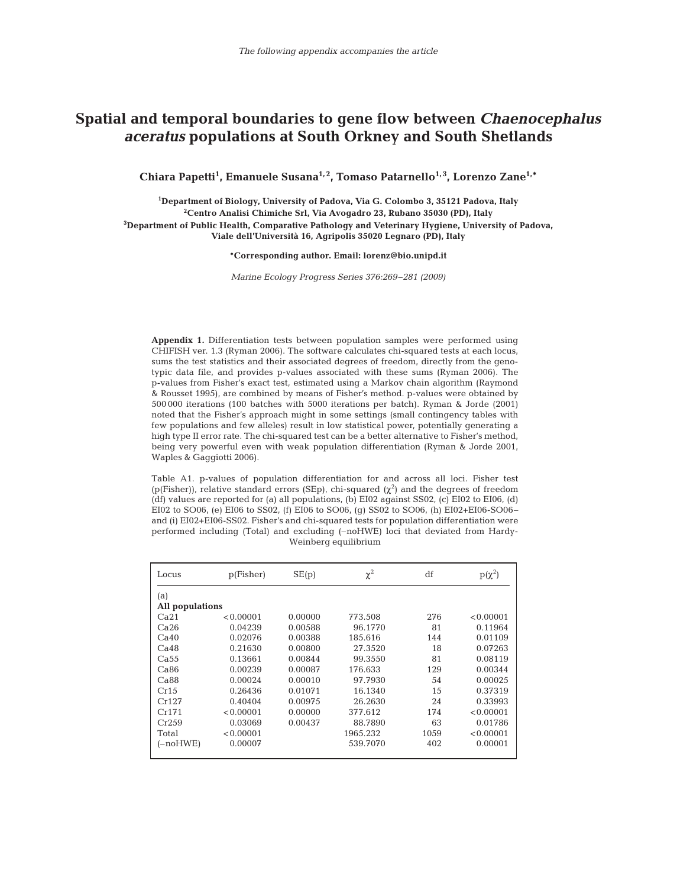## **Spatial and temporal boundaries to gene flow between** *Chaenocephalus aceratus* **populations at South Orkney and South Shetlands**

Chiara Papetti<sup>1</sup>, Emanuele Susana<sup>1,2</sup>, Tomaso Patarnello<sup>1,3</sup>, Lorenzo Zane<sup>1,\*</sup>

 **Department of Biology, University of Padova, Via G. Colombo 3, 35121 Padova, Italy Centro Analisi Chimiche Srl, Via Avogadro 23, Rubano 35030 (PD), Italy Department of Public Health, Comparative Pathology and Veterinary Hygiene, University of Padova, Viale dell'Università 16, Agripolis 35020 Legnaro (PD), Italy**

**\*Corresponding author. Email: lorenz@bio.unipd.it**

*Marine Ecology Progress Series 376:269–281 (2009)*

**Appendix 1.** Differentiation tests between population samples were performed using CHIFISH ver. 1.3 (Ryman 2006). The software calculates chi-squared tests at each locus, sums the test statistics and their associated degrees of freedom, directly from the genotypic data file, and provides p-values associated with these sums (Ryman 2006). The p-values from Fisher's exact test, estimated using a Markov chain algorithm (Raymond & Rousset 1995), are combined by means of Fisher's method. p-values were obtained by 500 000 iterations (100 batches with 5000 iterations per batch). Ryman & Jorde (2001) noted that the Fisher's approach might in some settings (small contingency tables with few populations and few alleles) result in low statistical power, potentially generating a high type II error rate. The chi-squared test can be a better alternative to Fisher's method, being very powerful even with weak population differentiation (Ryman & Jorde 2001, Waples & Gaggiotti 2006).

Table A1. p-values of population differentiation for and across all loci. Fisher test (p(Fisher)), relative standard errors (SEp), chi-squared ( $\chi^2$ ) and the degrees of freedom (df) values are reported for (a) all populations, (b) EI02 against SS02, (c) EI02 to EI06, (d) EI02 to SO06, (e) EI06 to SS02, (f) EI06 to SO06, (g) SS02 to SO06, (h) EI02+EI06-SO06– and (i) EI02+EI06-SS02. Fisher's and chi-squared tests for population differentiation were performed including (Total) and excluding (–noHWE) loci that deviated from Hardy-Weinberg equilibrium

| Locus            | p(Fisher) | SE(p)   | $\chi^2$ | df   | $p(\chi^2)$ |  |  |  |
|------------------|-----------|---------|----------|------|-------------|--|--|--|
| (a)              |           |         |          |      |             |  |  |  |
| All populations  |           |         |          |      |             |  |  |  |
| Ca <sub>21</sub> | < 0.00001 | 0.00000 | 773.508  | 276  | < 0.00001   |  |  |  |
| Ca26             | 0.04239   | 0.00588 | 96.1770  | 81   | 0.11964     |  |  |  |
| Ca40             | 0.02076   | 0.00388 | 185.616  | 144  | 0.01109     |  |  |  |
| Ca48             | 0.21630   | 0.00800 | 27.3520  | 18   | 0.07263     |  |  |  |
| Ca <sub>55</sub> | 0.13661   | 0.00844 | 99.3550  | 81   | 0.08119     |  |  |  |
| Ca86             | 0.00239   | 0.00087 | 176.633  | 129  | 0.00344     |  |  |  |
| Ca88             | 0.00024   | 0.00010 | 97.7930  | 54   | 0.00025     |  |  |  |
| Cr15             | 0.26436   | 0.01071 | 16.1340  | 15   | 0.37319     |  |  |  |
| Cr127            | 0.40404   | 0.00975 | 26.2630  | 24   | 0.33993     |  |  |  |
| Cr171            | < 0.00001 | 0.00000 | 377.612  | 174  | < 0.00001   |  |  |  |
| Cr259            | 0.03069   | 0.00437 | 88.7890  | 63   | 0.01786     |  |  |  |
| Total            | < 0.00001 |         | 1965.232 | 1059 | < 0.00001   |  |  |  |
| $(-noHWE)$       | 0.00007   |         | 539.7070 | 402  | 0.00001     |  |  |  |
|                  |           |         |          |      |             |  |  |  |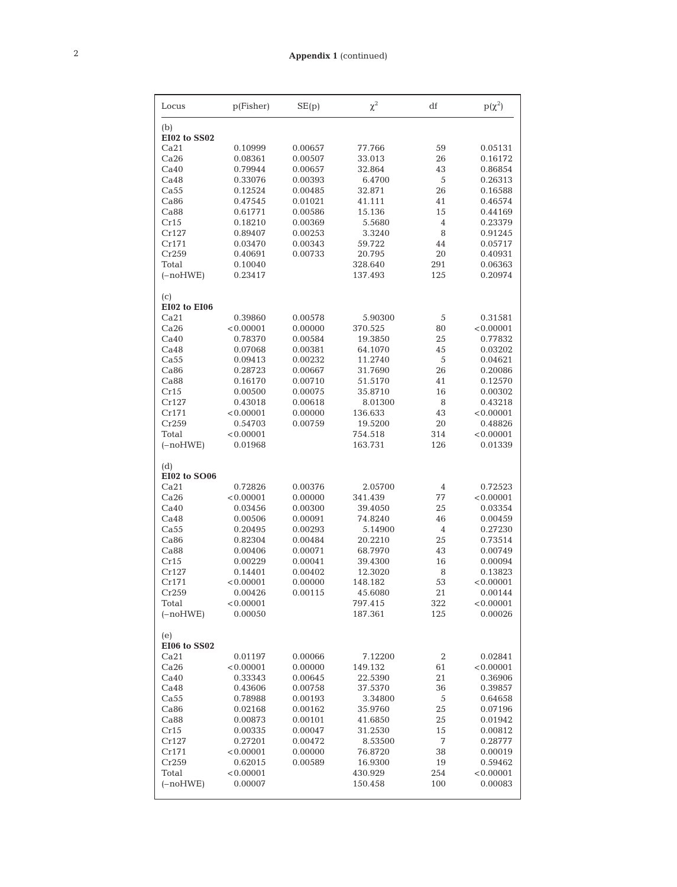| Locus               | p(Fisher)          | SE(p)              | $\chi^2$           | df       | $p(\chi^2)$        |
|---------------------|--------------------|--------------------|--------------------|----------|--------------------|
| (b)<br>EI02 to SS02 |                    |                    |                    |          |                    |
| Ca21                | 0.10999            | 0.00657            | 77.766             | 59       | 0.05131            |
| Ca26                | 0.08361            | 0.00507            | 33.013             | 26       | 0.16172            |
| Ca40                | 0.79944            | 0.00657            | 32.864             | 43       | 0.86854            |
| Ca48                | 0.33076            | 0.00393            | 6.4700             | 5        | 0.26313            |
| Ca55                | 0.12524            | 0.00485            | 32.871             | 26       | 0.16588            |
| Ca86                | 0.47545            | 0.01021            | 41.111             | 41       | 0.46574            |
| Ca88                | 0.61771            | 0.00586            | 15.136             | 15       | 0.44169            |
| Cr15                | 0.18210            | 0.00369            | 5.5680             | 4        | 0.23379            |
| Cr127               | 0.89407            | 0.00253            | 3.3240             | 8        | 0.91245            |
| Cr171               | 0.03470            | 0.00343            | 59.722             | 44       | 0.05717            |
| Cr259               | 0.40691            | 0.00733            | 20.795             | 20       | 0.40931            |
| Total               | 0.10040            |                    | 328.640            | 291      | 0.06363            |
| $(-noHWE)$          | 0.23417            |                    | 137.493            | 125      | 0.20974            |
| (c)<br>EI02 to EI06 |                    |                    |                    |          |                    |
| Ca21                | 0.39860            | 0.00578            | 5.90300            | 5        | 0.31581            |
| Ca26                | < 0.00001          | 0.00000            | 370.525            | 80       | < 0.00001          |
| Ca40                | 0.78370            | 0.00584            | 19.3850            | 25       | 0.77832            |
| Ca48                | 0.07068            | 0.00381            | 64.1070            | 45       | 0.03202            |
| Ca55                | 0.09413            | 0.00232            | 11.2740            | 5        | 0.04621            |
| Ca86                | 0.28723            | 0.00667            | 31.7690            | 26       | 0.20086            |
| Ca88                | 0.16170            | 0.00710            | 51.5170            | 41       | 0.12570            |
| Cr15                | 0.00500            | 0.00075            | 35.8710            | 16       | 0.00302            |
| Cr127               | 0.43018            | 0.00618            | 8.01300            | 8        | 0.43218            |
| Cr171               | < 0.00001          | 0.00000            | 136.633            | 43       | < 0.00001          |
| Cr259               | 0.54703            | 0.00759            | 19.5200            | 20       | 0.48826            |
| Total               | < 0.00001          |                    | 754.518            | 314      | < 0.00001          |
| $(-noHWE)$          | 0.01968            |                    | 163.731            | 126      | 0.01339            |
| (d)<br>EI02 to SO06 |                    |                    |                    |          |                    |
| Ca21                | 0.72826            | 0.00376            | 2.05700            | 4        | 0.72523            |
| Ca26                | < 0.00001          | 0.00000            | 341.439            | 77       | < 0.00001          |
| Ca40                | 0.03456            | 0.00300            | 39.4050            | 25       | 0.03354            |
| Ca48                | 0.00506            | 0.00091            | 74.8240            | 46       | 0.00459            |
| Ca <sub>55</sub>    | 0.20495            | 0.00293            | 5.14900            | 4        | 0.27230            |
| Ca86                | 0.82304            | 0.00484            | 20.2210            | 25       | 0.73514            |
| Ca88                | 0.00406            | 0.00071            | 68.7970            | 43       | 0.00749            |
| Cr15                | 0.00229            | 0.00041            | 39.4300            | 16       | 0.00094            |
| Cr127               | 0.14401            | 0.00402            | 12.3020            | 8        | 0.13823            |
| Cr171               | < 0.00001          | 0.00000            | 148.182            | 53       | < 0.00001          |
| Cr259               | 0.00426            | 0.00115            | 45.6080            | 21       | 0.00144            |
| Total               | < 0.00001          |                    | 797.415            | 322      | < 0.00001          |
| $(-noHWE)$          | 0.00050            |                    | 187.361            | 125      | 0.00026            |
| (e)                 |                    |                    |                    |          |                    |
| EI06 to SS02        |                    |                    |                    |          |                    |
| Ca21                | 0.01197            | 0.00066            | 7.12200            | 2        | 0.02841            |
| Ca26                | < 0.00001          | 0.00000            | 149.132            | 61       | < 0.00001          |
| Ca40                | 0.33343            | 0.00645            | 22.5390            | 21       | 0.36906            |
| Ca48                | 0.43606            | 0.00758            | 37.5370            | 36       | 0.39857            |
| Ca55                | 0.78988            | 0.00193            | 3.34800            | 5        | 0.64658            |
| Ca86                | 0.02168<br>0.00873 | 0.00162<br>0.00101 | 35.9760            | 25       | 0.07196            |
| Ca88<br>Cr15        |                    |                    | 41.6850<br>31.2530 | 25<br>15 | 0.01942            |
| Cr127               | 0.00335<br>0.27201 | 0.00047<br>0.00472 | 8.53500            | 7        | 0.00812<br>0.28777 |
| Cr171               | < 0.00001          | 0.00000            | 76.8720            | 38       | 0.00019            |
| Cr259               | 0.62015            | 0.00589            | 16.9300            | 19       | 0.59462            |
| Total               | < 0.00001          |                    | 430.929            | 254      | < 0.00001          |
| $(-noHWE)$          | 0.00007            |                    | 150.458            | 100      | 0.00083            |
|                     |                    |                    |                    |          |                    |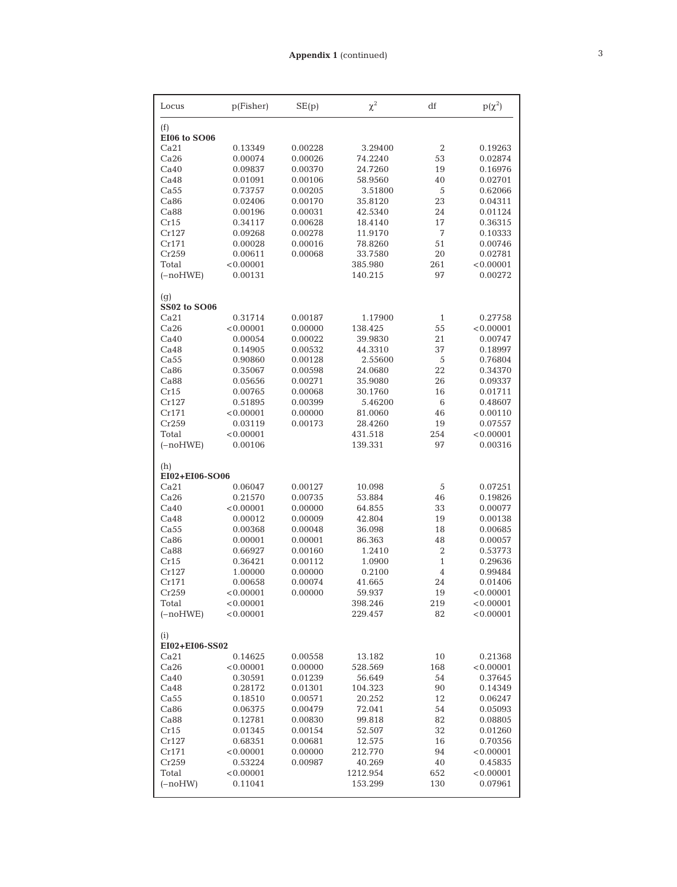| Locus                  | p(Fisher)            | SE(p)              | $\chi^2$          | df             | $p(\chi^2)$        |  |
|------------------------|----------------------|--------------------|-------------------|----------------|--------------------|--|
| (f)<br>EI06 to SO06    |                      |                    |                   |                |                    |  |
| Ca21                   | 0.13349              | 0.00228            | 3.29400           | $\overline{2}$ | 0.19263            |  |
| Ca26                   | 0.00074              | 0.00026            | 74.2240           | 53             | 0.02874            |  |
| Ca40                   | 0.09837              | 0.00370            | 24.7260           | 19             | 0.16976            |  |
| Ca48                   | 0.01091              | 0.00106            | 58.9560           | 40             | 0.02701            |  |
| Ca <sub>55</sub>       | 0.73757              | 0.00205            | 3.51800           | 5              | 0.62066            |  |
| Ca86                   | 0.02406              | 0.00170            | 35.8120           | 23             | 0.04311            |  |
| Ca88                   | 0.00196              | 0.00031            | 42.5340           | 24             | 0.01124            |  |
| Cr15                   | 0.34117              | 0.00628            | 18.4140           | 17             | 0.36315            |  |
| Cr127                  | 0.09268              | 0.00278            | 11.9170           | 7              | 0.10333            |  |
| Cr171                  | 0.00028              | 0.00016            | 78.8260           | 51             | 0.00746            |  |
| Cr259                  | 0.00611              | 0.00068            | 33.7580           | 20             | 0.02781            |  |
| Total                  | < 0.00001            |                    | 385.980           | 261            | < 0.00001          |  |
| $(-noHWE)$             | 0.00131              |                    | 140.215           | 97             | 0.00272            |  |
| (g)<br>SS02 to SO06    |                      |                    |                   |                |                    |  |
| Ca21                   | 0.31714              | 0.00187            | 1.17900           | $\mathbf{1}$   | 0.27758            |  |
| Ca26                   | < 0.00001            | 0.00000            | 138.425           | 55             | < 0.00001          |  |
| Ca40                   | 0.00054              | 0.00022            | 39.9830           | 21             | 0.00747            |  |
| Ca48                   | 0.14905              | 0.00532            | 44.3310           | 37             | 0.18997            |  |
| Ca55                   | 0.90860              | 0.00128            | 2.55600           | 5              | 0.76804            |  |
| Ca86                   | 0.35067              | 0.00598            | 24.0680           | 22             | 0.34370            |  |
| Ca88                   | 0.05656              | 0.00271            | 35.9080           | 26             | 0.09337            |  |
| Cr15                   | 0.00765              | 0.00068            | 30.1760           | 16             | 0.01711            |  |
| Cr127                  | 0.51895              | 0.00399            | 5.46200           | 6              | 0.48607            |  |
| Cr171                  | < 0.00001            | 0.00000            | 81.0060           | 46             | 0.00110            |  |
| Cr259                  | 0.03119              | 0.00173            | 28.4260           | 19             | 0.07557            |  |
| Total                  | < 0.00001            |                    | 431.518           | 254            | < 0.00001          |  |
| $(-noHWE)$             | 0.00106              |                    | 139.331           | 97             | 0.00316            |  |
| (h)<br>EI02+EI06-SO06  |                      |                    |                   |                |                    |  |
| Ca21                   | 0.06047              | 0.00127            | 10.098            | 5              | 0.07251            |  |
| Ca26                   | 0.21570              | 0.00735            | 53.884            | 46             | 0.19826            |  |
| Ca40                   | < 0.00001            | 0.00000            | 64.855            | 33             | 0.00077            |  |
| Ca48                   | 0.00012              | 0.00009            | 42.804            | 19             | 0.00138            |  |
| Ca55                   | 0.00368              | 0.00048            | 36.098            | 18             | 0.00685            |  |
| Ca86                   | 0.00001              | 0.00001            | 86.363            | 48             | 0.00057            |  |
| Ca88                   | 0.66927              | 0.00160            | 1.2410            | 2              | 0.53773            |  |
| Cr15                   | 0.36421              | 0.00112            | 1.0900            | $\mathbf{1}$   | 0.29636            |  |
| Cr127                  | 1.00000              | 0.00000            | 0.2100            | 4              | 0.99484            |  |
| Cr171                  | 0.00658              | 0.00074            | 41.665            | 24             | 0.01406            |  |
| Cr259                  | < 0.00001            | 0.00000            | 59.937            | 19             | < 0.00001          |  |
| Total                  | < 0.00001            |                    | 398.246           | 219            | < 0.00001          |  |
| $(-noHWE)$             | < 0.00001            |                    | 229.457           | 82             | < 0.00001          |  |
| (i)                    |                      |                    |                   |                |                    |  |
| EI02+EI06-SS02<br>Ca21 |                      |                    |                   |                |                    |  |
| Ca26                   | 0.14625<br>< 0.00001 | 0.00558            | 13.182            | 10             | 0.21368            |  |
| Ca40                   |                      | 0.00000            | 528.569           | 168<br>54      | < 0.00001          |  |
|                        | 0.30591              | 0.01239            | 56.649            | 90             | 0.37645            |  |
| Ca48<br>Ca55           | 0.28172<br>0.18510   | 0.01301<br>0.00571 | 104.323<br>20.252 | 12             | 0.14349<br>0.06247 |  |
| Ca86                   | 0.06375              | 0.00479            | 72.041            | 54             | 0.05093            |  |
| Ca88                   | 0.12781              | 0.00830            | 99.818            | 82             | 0.08805            |  |
| Cr15                   | 0.01345              | 0.00154            | 52.507            | 32             | 0.01260            |  |
| Cr127                  | 0.68351              | 0.00681            | 12.575            | 16             | 0.70356            |  |
| Cr171                  | < 0.00001            | 0.00000            | 212.770           | 94             | < 0.00001          |  |
| Cr259                  | 0.53224              | 0.00987            | 40.269            | 40             | 0.45835            |  |
| Total                  | < 0.00001            |                    | 1212.954          | 652            | < 0.00001          |  |
| $(-noHW)$              | 0.11041              |                    | 153.299           | 130            | 0.07961            |  |
|                        |                      |                    |                   |                |                    |  |